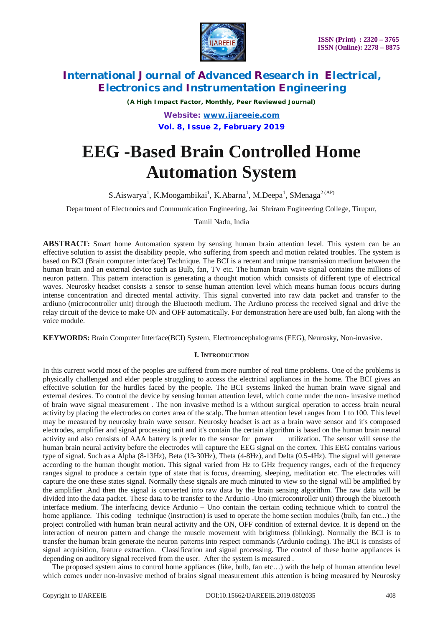

*(A High Impact Factor, Monthly, Peer Reviewed Journal) Website: [www.ijareeie.com](http://www.ijareeie.com)* **Vol. 8, Issue 2, February 2019**

# **EEG -Based Brain Controlled Home Automation System**

S.Aiswarya<sup>1</sup>, K.Moogambikai<sup>1</sup>, K.Abarna<sup>1</sup>, M.Deepa<sup>1</sup>, SMenaga<sup>2 (AP)</sup>

Department of Electronics and Communication Engineering, Jai Shriram Engineering College, Tirupur,

Tamil Nadu, India

**ABSTRACT:** Smart home Automation system by sensing human brain attention level. This system can be an effective solution to assist the disability people, who suffering from speech and motion related troubles. The system is based on BCI (Brain computer interface) Technique. The BCI is a recent and unique transmission medium between the human brain and an external device such as Bulb, fan, TV etc. The human brain wave signal contains the millions of neuron pattern. This pattern interaction is generating a thought motion which consists of different type of electrical waves. Neurosky headset consists a sensor to sense human attention level which means human focus occurs during intense concentration and directed mental activity. This signal converted into raw data packet and transfer to the ardiuno (microcontroller unit) through the Bluetooth medium. The Ardiuno process the received signal and drive the relay circuit of the device to make ON and OFF automatically. For demonstration here are used bulb, fan along with the voice module.

**KEYWORDS:** Brain Computer Interface(BCI) System, Electroencephalograms (EEG), Neurosky, Non-invasive.

### **I. INTRODUCTION**

In this current world most of the peoples are suffered from more number of real time problems. One of the problems is physically challenged and elder people struggling to access the electrical appliances in the home. The BCI gives an effective solution for the hurdles faced by the people. The BCI systems linked the human brain wave signal and external devices. To control the device by sensing human attention level, which come under the non- invasive method of brain wave signal measurement . The non invasive method is a without surgical operation to access brain neural activity by placing the electrodes on cortex area of the scalp. The human attention level ranges from 1 to 100. This level may be measured by neurosky brain wave sensor. Neurosky headset is act as a brain wave sensor and it's composed electrodes, amplifier and signal processing unit and it's contain the certain algorithm is based on the human brain neural activity and also consists of AAA battery is prefer to the sensor for power utilization. The sensor will sense the human brain neural activity before the electrodes will capture the EEG signal on the cortex. This EEG contains various type of signal. Such as a Alpha (8-13Hz), Beta (13-30Hz), Theta (4-8Hz), and Delta (0.5-4Hz). The signal will generate according to the human thought motion. This signal varied from Hz to GHz frequency ranges, each of the frequency ranges signal to produce a certain type of state that is focus, dreaming, sleeping, meditation etc. The electrodes will capture the one these states signal. Normally these signals are much minuted to view so the signal will be amplified by the amplifier .And then the signal is converted into raw data by the brain sensing algorithm. The raw data will be divided into the data packet. These data to be transfer to the Ardunio -Uno (microcontroller unit) through the bluetooth interface medium. The interfacing device Ardunio – Uno contain the certain coding technique which to control the home appliance. This coding technique (instruction) is used to operate the home section modules (bulb, fan etc...) the project controlled with human brain neural activity and the ON, OFF condition of external device. It is depend on the interaction of neuron pattern and change the muscle movement with brightness (blinking). Normally the BCI is to transfer the human brain generate the neuron patterns into respect commands (Ardunio coding). The BCI is consists of signal acquisition, feature extraction. Classification and signal processing. The control of these home appliances is depending on auditory signal received from the user. After the system is measured .

 The proposed system aims to control home appliances (like, bulb, fan etc…) with the help of human attention level which comes under non-invasive method of brains signal measurement .this attention is being measured by Neurosky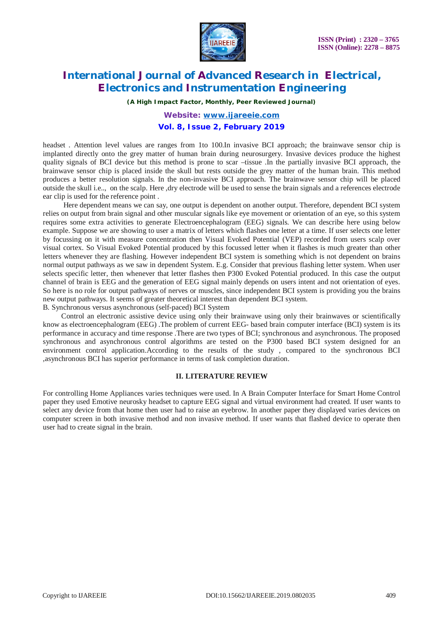

*(A High Impact Factor, Monthly, Peer Reviewed Journal)*

*Website: [www.ijareeie.com](http://www.ijareeie.com)*

### **Vol. 8, Issue 2, February 2019**

headset . Attention level values are ranges from 1to 100.In invasive BCI approach; the brainwave sensor chip is implanted directly onto the grey matter of human brain during neurosurgery. Invasive devices produce the highest quality signals of BCI device but this method is prone to scar –tissue .In the partially invasive BCI approach, the brainwave sensor chip is placed inside the skull but rests outside the grey matter of the human brain. This method produces a better resolution signals. In the non-invasive BCI approach. The brainwave sensor chip will be placed outside the skull i.e.., on the scalp. Here ,dry electrode will be used to sense the brain signals and a references electrode ear clip is used for the reference point .

 Here dependent means we can say, one output is dependent on another output. Therefore, dependent BCI system relies on output from brain signal and other muscular signals like eye movement or orientation of an eye, so this system requires some extra activities to generate Electroencephalogram (EEG) signals. We can describe here using below example. Suppose we are showing to user a matrix of letters which flashes one letter at a time. If user selects one letter by focussing on it with measure concentration then Visual Evoked Potential (VEP) recorded from users scalp over visual cortex. So Visual Evoked Potential produced by this focussed letter when it flashes is much greater than other letters whenever they are flashing. However independent BCI system is something which is not dependent on brains normal output pathways as we saw in dependent System. E.g. Consider that previous flashing letter system. When user selects specific letter, then whenever that letter flashes then P300 Evoked Potential produced. In this case the output channel of brain is EEG and the generation of EEG signal mainly depends on users intent and not orientation of eyes. So here is no role for output pathways of nerves or muscles, since independent BCI system is providing you the brains new output pathways. It seems of greater theoretical interest than dependent BCI system. B. Synchronous versus asynchronous (self-paced) BCI System

 Control an electronic assistive device using only their brainwave using only their brainwaves or scientifically know as electroencephalogram (EEG) .The problem of current EEG- based brain computer interface (BCI) system is its performance in accuracy and time response .There are two types of BCI; synchronous and asynchronous. The proposed synchronous and asynchronous control algorithms are tested on the P300 based BCI system designed for an environment control application.According to the results of the study , compared to the synchronous BCI ,asynchronous BCI has superior performance in terms of task completion duration.

### **II. LITERATURE REVIEW**

For controlling Home Appliances varies techniques were used. In A Brain Computer Interface for Smart Home Control paper they used Emotive neurosky headset to capture EEG signal and virtual environment had created. If user wants to select any device from that home then user had to raise an eyebrow. In another paper they displayed varies devices on computer screen in both invasive method and non invasive method. If user wants that flashed device to operate then user had to create signal in the brain.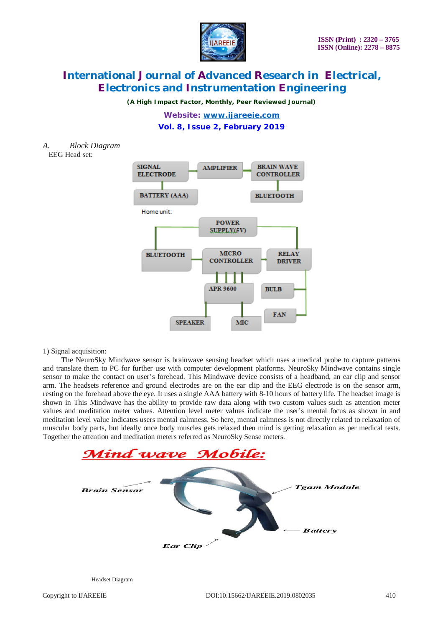

*(A High Impact Factor, Monthly, Peer Reviewed Journal)*

*Website: [www.ijareeie.com](http://www.ijareeie.com)* **Vol. 8, Issue 2, February 2019**

*A. Block Diagram*

EEG Head set:



### 1) Signal acquisition:

 The NeuroSky Mindwave sensor is brainwave sensing headset which uses a medical probe to capture patterns and translate them to PC for further use with computer development platforms. NeuroSky Mindwave contains single sensor to make the contact on user's forehead. This Mindwave device consists of a headband, an ear clip and sensor arm. The headsets reference and ground electrodes are on the ear clip and the EEG electrode is on the sensor arm, resting on the forehead above the eye. It uses a single AAA battery with 8-10 hours of battery life. The headset image is shown in This Mindwave has the ability to provide raw data along with two custom values such as attention meter values and meditation meter values. Attention level meter values indicate the user's mental focus as shown in and meditation level value indicates users mental calmness. So here, mental calmness is not directly related to relaxation of muscular body parts, but ideally once body muscles gets relaxed then mind is getting relaxation as per medical tests. Together the attention and meditation meters referred as NeuroSky Sense meters.



Headset Diagram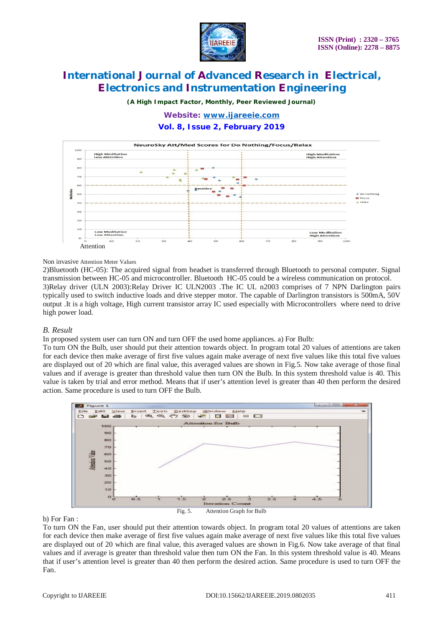

*(A High Impact Factor, Monthly, Peer Reviewed Journal)*

# *Website: [www.ijareeie.com](http://www.ijareeie.com)*

### **Vol. 8, Issue 2, February 2019**



### Non invasive Attention Meter Values

2)Bluetooth (HC-05): The acquired signal from headset is transferred through Bluetooth to personal computer. Signal transmission between HC-05 and microcontroller. Bluetooth HC-05 could be a wireless communication on protocol. 3)Relay driver (ULN 2003):Relay Driver IC ULN2003 .The IC UL n2003 comprises of 7 NPN Darlington pairs typically used to switch inductive loads and drive stepper motor. The capable of Darlington transistors is 500mA, 50V output .It is a high voltage, High current transistor array IC used especially with Microcontrollers where need to drive high power load.

### *B. Result*

In proposed system user can turn ON and turn OFF the used home appliances. a) For Bulb:

To turn ON the Bulb, user should put their attention towards object. In program total 20 values of attentions are taken for each device then make average of first five values again make average of next five values like this total five values are displayed out of 20 which are final value, this averaged values are shown in Fig.5. Now take average of those final values and if average is greater than threshold value then turn ON the Bulb. In this system threshold value is 40. This value is taken by trial and error method. Means that if user's attention level is greater than 40 then perform the desired action. Same procedure is used to turn OFF the Bulb.



#### b) For Fan :

To turn ON the Fan, user should put their attention towards object. In program total 20 values of attentions are taken for each device then make average of first five values again make average of next five values like this total five values are displayed out of 20 which are final value, this averaged values are shown in Fig.6. Now take average of that final values and if average is greater than threshold value then turn ON the Fan. In this system threshold value is 40. Means that if user's attention level is greater than 40 then perform the desired action. Same procedure is used to turn OFF the Fan.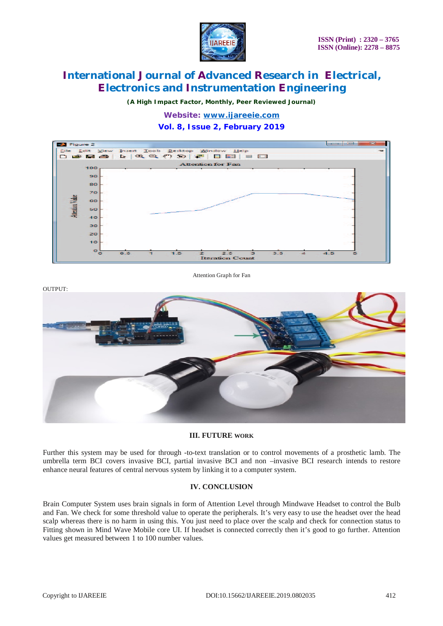

*(A High Impact Factor, Monthly, Peer Reviewed Journal)*

*Website: [www.ijareeie.com](http://www.ijareeie.com)*

### **Vol. 8, Issue 2, February 2019**



Attention Graph for Fan



### **III. FUTURE WORK**

Further this system may be used for through -to-text translation or to control movements of a prosthetic lamb. The umbrella term BCI covers invasive BCI, partial invasive BCI and non –invasive BCI research intends to restore enhance neural features of central nervous system by linking it to a computer system.

### **IV. CONCLUSION**

Brain Computer System uses brain signals in form of Attention Level through Mindwave Headset to control the Bulb and Fan. We check for some threshold value to operate the peripherals. It's very easy to use the headset over the head scalp whereas there is no harm in using this. You just need to place over the scalp and check for connection status to Fitting shown in Mind Wave Mobile core UI. If headset is connected correctly then it's good to go further. Attention values get measured between 1 to 100 number values.